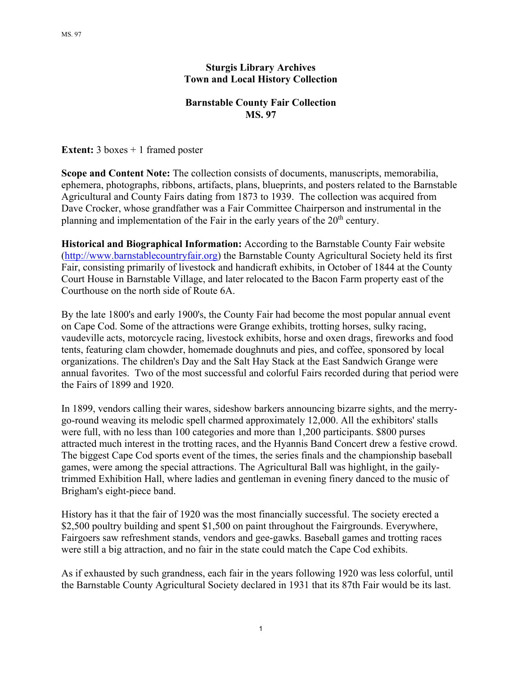## **Sturgis Library Archives Town and Local History Collection**

## **Barnstable County Fair Collection MS. 97**

**Extent:** 3 boxes + 1 framed poster

**Scope and Content Note:** The collection consists of documents, manuscripts, memorabilia, ephemera, photographs, ribbons, artifacts, plans, blueprints, and posters related to the Barnstable Agricultural and County Fairs dating from 1873 to 1939. The collection was acquired from Dave Crocker, whose grandfather was a Fair Committee Chairperson and instrumental in the planning and implementation of the Fair in the early years of the  $20<sup>th</sup>$  century.

**Historical and Biographical Information:** According to the Barnstable County Fair website (http://www.barnstablecountryfair.org) the Barnstable County Agricultural Society held its first Fair, consisting primarily of livestock and handicraft exhibits, in October of 1844 at the County Court House in Barnstable Village, and later relocated to the Bacon Farm property east of the Courthouse on the north side of Route 6A.

By the late 1800's and early 1900's, the County Fair had become the most popular annual event on Cape Cod. Some of the attractions were Grange exhibits, trotting horses, sulky racing, vaudeville acts, motorcycle racing, livestock exhibits, horse and oxen drags, fireworks and food tents, featuring clam chowder, homemade doughnuts and pies, and coffee, sponsored by local organizations. The children's Day and the Salt Hay Stack at the East Sandwich Grange were annual favorites. Two of the most successful and colorful Fairs recorded during that period were the Fairs of 1899 and 1920.

In 1899, vendors calling their wares, sideshow barkers announcing bizarre sights, and the merrygo-round weaving its melodic spell charmed approximately 12,000. All the exhibitors' stalls were full, with no less than 100 categories and more than 1,200 participants. \$800 purses attracted much interest in the trotting races, and the Hyannis Band Concert drew a festive crowd. The biggest Cape Cod sports event of the times, the series finals and the championship baseball games, were among the special attractions. The Agricultural Ball was highlight, in the gailytrimmed Exhibition Hall, where ladies and gentleman in evening finery danced to the music of Brigham's eight-piece band.

History has it that the fair of 1920 was the most financially successful. The society erected a \$2,500 poultry building and spent \$1,500 on paint throughout the Fairgrounds. Everywhere, Fairgoers saw refreshment stands, vendors and gee-gawks. Baseball games and trotting races were still a big attraction, and no fair in the state could match the Cape Cod exhibits.

As if exhausted by such grandness, each fair in the years following 1920 was less colorful, until the Barnstable County Agricultural Society declared in 1931 that its 87th Fair would be its last.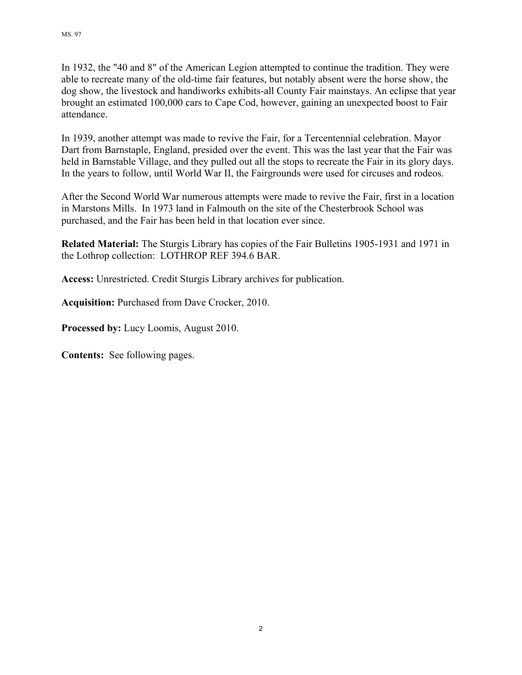In 1932, the "40 and 8" of the American Legion attempted to continue the tradition. They were able to recreate many of the old-time fair features, but notably absent were the horse show, the dog show, the livestock and handiworks exhibits-all County Fair mainstays. An eclipse that year brought an estimated 100,000 cars to Cape Cod, however, gaining an unexpected boost to Fair attendance.

In 1939, another attempt was made to revive the Fair, for a Tercentennial celebration. Mayor Dart from Barnstaple, England, presided over the event. This was the last year that the Fair was held in Barnstable Village, and they pulled out all the stops to recreate the Fair in its glory days. In the years to follow, until World War II, the Fairgrounds were used for circuses and rodeos.

After the Second World War numerous attempts were made to revive the Fair, first in a location in Marstons Mills. In 1973 land in Falmouth on the site of the Chesterbrook School was purchased, and the Fair has been held in that location ever since.

**Related Material:** The Sturgis Library has copies of the Fair Bulletins 1905-1931 and 1971 in the Lothrop collection: LOTHROP REF 394.6 BAR.

**Access:** Unrestricted. Credit Sturgis Library archives for publication.

**Acquisition:** Purchased from Dave Crocker, 2010.

**Processed by:** Lucy Loomis, August 2010.

**Contents:** See following pages.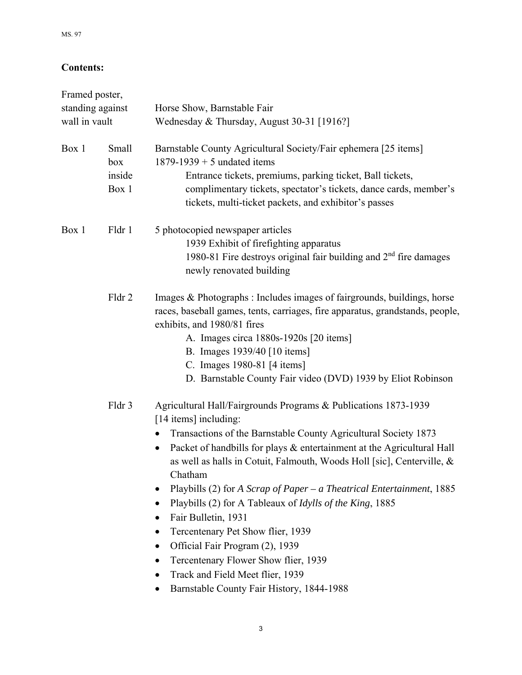## **Contents:**

| Framed poster,<br>standing against<br>wall in vault |        | Horse Show, Barnstable Fair<br>Wednesday & Thursday, August 30-31 [1916?]                                                                                                                                                                                                                                                                                                                                                                                                                                                                                                                                                                                                                                                                                                    |
|-----------------------------------------------------|--------|------------------------------------------------------------------------------------------------------------------------------------------------------------------------------------------------------------------------------------------------------------------------------------------------------------------------------------------------------------------------------------------------------------------------------------------------------------------------------------------------------------------------------------------------------------------------------------------------------------------------------------------------------------------------------------------------------------------------------------------------------------------------------|
|                                                     |        |                                                                                                                                                                                                                                                                                                                                                                                                                                                                                                                                                                                                                                                                                                                                                                              |
| Box 1                                               | Fldr 1 | 5 photocopied newspaper articles<br>1939 Exhibit of firefighting apparatus<br>1980-81 Fire destroys original fair building and $2nd$ fire damages<br>newly renovated building                                                                                                                                                                                                                                                                                                                                                                                                                                                                                                                                                                                                |
|                                                     | Fldr 2 | Images & Photographs : Includes images of fairgrounds, buildings, horse<br>races, baseball games, tents, carriages, fire apparatus, grandstands, people,<br>exhibits, and 1980/81 fires<br>A. Images circa 1880s-1920s [20 items]<br>B. Images 1939/40 [10 items]<br>C. Images 1980-81 [4 items]<br>D. Barnstable County Fair video (DVD) 1939 by Eliot Robinson                                                                                                                                                                                                                                                                                                                                                                                                             |
|                                                     | Fldr 3 | Agricultural Hall/Fairgrounds Programs & Publications 1873-1939<br>[14 items] including:<br>Transactions of the Barnstable County Agricultural Society 1873<br>Packet of handbills for plays & entertainment at the Agricultural Hall<br>٠<br>as well as halls in Cotuit, Falmouth, Woods Holl [sic], Centerville, &<br>Chatham<br>Playbills (2) for A Scrap of Paper – a Theatrical Entertainment, $1885$<br>Playbills (2) for A Tableaux of <i>Idylls of the King</i> , 1885<br>Fair Bulletin, 1931<br>$\bullet$<br>Tercentenary Pet Show flier, 1939<br>$\bullet$<br>Official Fair Program (2), 1939<br>$\bullet$<br>Tercentenary Flower Show flier, 1939<br>$\bullet$<br>Track and Field Meet flier, 1939<br>$\bullet$<br>Barnstable County Fair History, 1844-1988<br>٠ |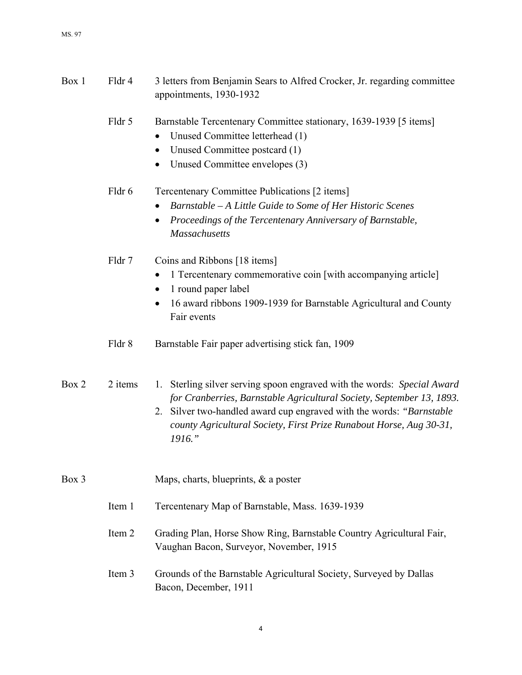| Box 1 | Fldr 4  | 3 letters from Benjamin Sears to Alfred Crocker, Jr. regarding committee<br>appointments, 1930-1932                                                                                                                                                                                                        |
|-------|---------|------------------------------------------------------------------------------------------------------------------------------------------------------------------------------------------------------------------------------------------------------------------------------------------------------------|
|       | Fldr 5  | Barnstable Tercentenary Committee stationary, 1639-1939 [5 items]<br>Unused Committee letterhead (1)<br>$\bullet$<br>Unused Committee postcard (1)<br>$\bullet$<br>Unused Committee envelopes (3)<br>٠                                                                                                     |
|       | Fldr 6  | Tercentenary Committee Publications [2 items]<br>Barnstable - A Little Guide to Some of Her Historic Scenes<br>Proceedings of the Tercentenary Anniversary of Barnstable,<br><b>Massachusetts</b>                                                                                                          |
|       | Fldr 7  | Coins and Ribbons [18 items]<br>1 Tercentenary commemorative coin [with accompanying article]<br>$\bullet$<br>1 round paper label<br>$\bullet$<br>16 award ribbons 1909-1939 for Barnstable Agricultural and County<br>$\bullet$<br>Fair events                                                            |
|       | Fldr 8  | Barnstable Fair paper advertising stick fan, 1909                                                                                                                                                                                                                                                          |
| Box 2 | 2 items | 1. Sterling silver serving spoon engraved with the words: Special Award<br>for Cranberries, Barnstable Agricultural Society, September 13, 1893.<br>2. Silver two-handled award cup engraved with the words: "Barnstable"<br>county Agricultural Society, First Prize Runabout Horse, Aug 30-31,<br>1916." |
| Box 3 |         | Maps, charts, blueprints, & a poster                                                                                                                                                                                                                                                                       |
|       | Item 1  | Tercentenary Map of Barnstable, Mass. 1639-1939                                                                                                                                                                                                                                                            |
|       | Item 2  | Grading Plan, Horse Show Ring, Barnstable Country Agricultural Fair,<br>Vaughan Bacon, Surveyor, November, 1915                                                                                                                                                                                            |
|       | Item 3  | Grounds of the Barnstable Agricultural Society, Surveyed by Dallas<br>Bacon, December, 1911                                                                                                                                                                                                                |